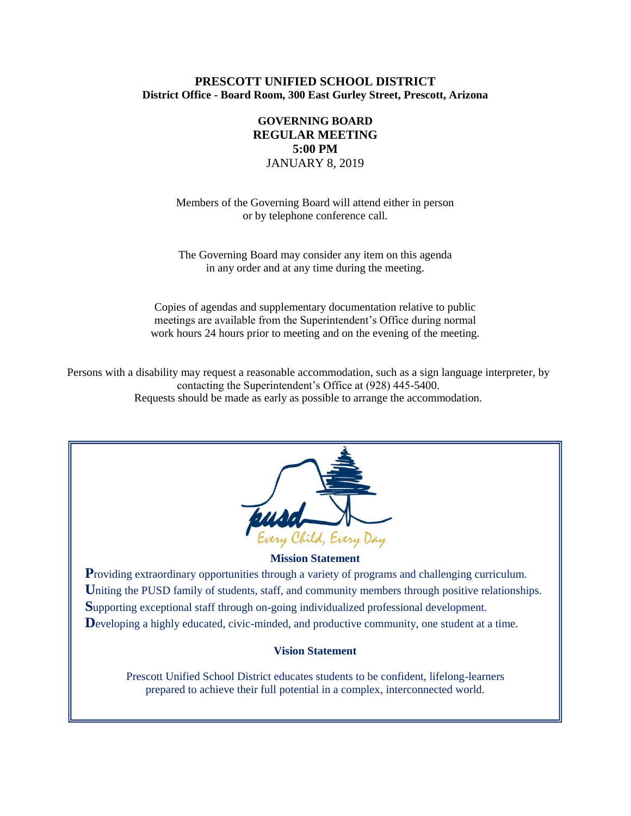# **PRESCOTT UNIFIED SCHOOL DISTRICT District Office - Board Room, 300 East Gurley Street, Prescott, Arizona**

# **GOVERNING BOARD REGULAR MEETING 5:00 PM** JANUARY 8, 2019

Members of the Governing Board will attend either in person or by telephone conference call.

The Governing Board may consider any item on this agenda in any order and at any time during the meeting.

Copies of agendas and supplementary documentation relative to public meetings are available from the Superintendent's Office during normal work hours 24 hours prior to meeting and on the evening of the meeting.

Persons with a disability may request a reasonable accommodation, such as a sign language interpreter, by contacting the Superintendent's Office at (928) 445-5400. Requests should be made as early as possible to arrange the accommodation.



### **Mission Statement**

**Providing extraordinary opportunities through a variety of programs and challenging curriculum.** Uniting the PUSD family of students, staff, and community members through positive relationships. **S**upporting exceptional staff through on-going individualized professional development. Developing a highly educated, civic-minded, and productive community, one student at a time.

### **Vision Statement**

Prescott Unified School District educates students to be confident, lifelong-learners prepared to achieve their full potential in a complex, interconnected world.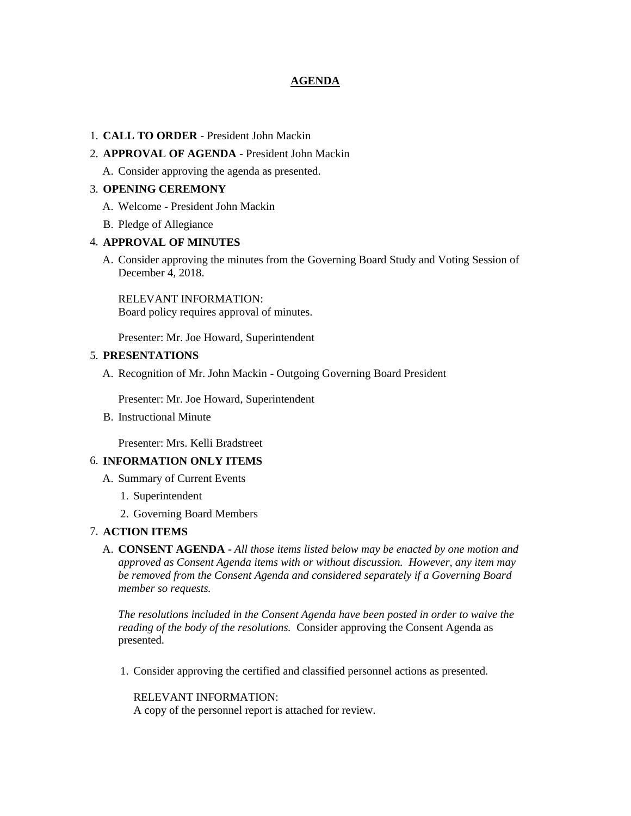# **AGENDA**

#### 1. **CALL TO ORDER** - President John Mackin

### 2. **APPROVAL OF AGENDA** - President John Mackin

A. Consider approving the agenda as presented.

### 3. **OPENING CEREMONY**

- A. Welcome President John Mackin
- B. Pledge of Allegiance

#### 4. **APPROVAL OF MINUTES**

A. Consider approving the minutes from the Governing Board Study and Voting Session of December 4, 2018.

RELEVANT INFORMATION: Board policy requires approval of minutes.

Presenter: Mr. Joe Howard, Superintendent

#### 5. **PRESENTATIONS**

A. Recognition of Mr. John Mackin - Outgoing Governing Board President

Presenter: Mr. Joe Howard, Superintendent

B. Instructional Minute

Presenter: Mrs. Kelli Bradstreet

### 6. **INFORMATION ONLY ITEMS**

- A. Summary of Current Events
	- 1. Superintendent
	- 2. Governing Board Members

### 7. **ACTION ITEMS**

A. **CONSENT AGENDA** - *All those items listed below may be enacted by one motion and approved as Consent Agenda items with or without discussion. However, any item may be removed from the Consent Agenda and considered separately if a Governing Board member so requests.*

*The resolutions included in the Consent Agenda have been posted in order to waive the reading of the body of the resolutions.* Consider approving the Consent Agenda as presented.

1. Consider approving the certified and classified personnel actions as presented.

RELEVANT INFORMATION: A copy of the personnel report is attached for review.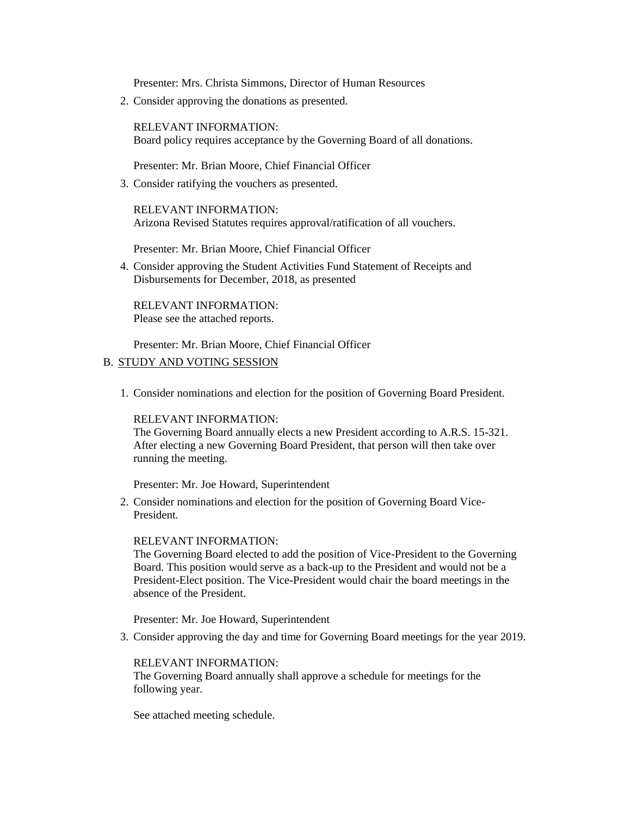Presenter: Mrs. Christa Simmons, Director of Human Resources

2. Consider approving the donations as presented.

RELEVANT INFORMATION: Board policy requires acceptance by the Governing Board of all donations.

Presenter: Mr. Brian Moore, Chief Financial Officer

3. Consider ratifying the vouchers as presented.

RELEVANT INFORMATION: Arizona Revised Statutes requires approval/ratification of all vouchers.

Presenter: Mr. Brian Moore, Chief Financial Officer

4. Consider approving the Student Activities Fund Statement of Receipts and Disbursements for December, 2018, as presented

RELEVANT INFORMATION: Please see the attached reports.

Presenter: Mr. Brian Moore, Chief Financial Officer

## B. STUDY AND VOTING SESSION

1. Consider nominations and election for the position of Governing Board President.

### RELEVANT INFORMATION:

The Governing Board annually elects a new President according to A.R.S. 15-321. After electing a new Governing Board President, that person will then take over running the meeting.

Presenter: Mr. Joe Howard, Superintendent

2. Consider nominations and election for the position of Governing Board Vice-President.

#### RELEVANT INFORMATION:

The Governing Board elected to add the position of Vice-President to the Governing Board. This position would serve as a back-up to the President and would not be a President-Elect position. The Vice-President would chair the board meetings in the absence of the President.

Presenter: Mr. Joe Howard, Superintendent

3. Consider approving the day and time for Governing Board meetings for the year 2019.

### RELEVANT INFORMATION:

The Governing Board annually shall approve a schedule for meetings for the following year.

See attached meeting schedule.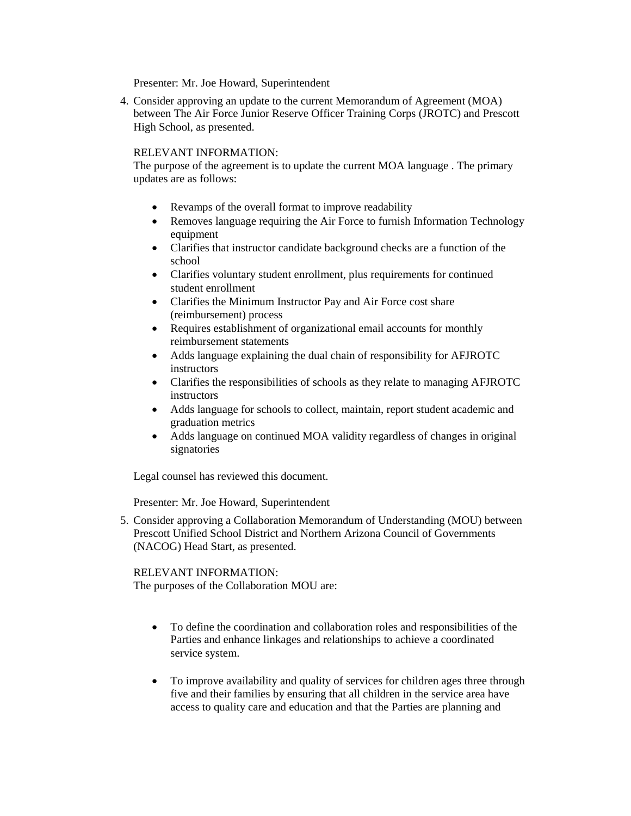Presenter: Mr. Joe Howard, Superintendent

4. Consider approving an update to the current Memorandum of Agreement (MOA) between The Air Force Junior Reserve Officer Training Corps (JROTC) and Prescott High School, as presented.

# RELEVANT INFORMATION:

The purpose of the agreement is to update the current MOA language . The primary updates are as follows:

- Revamps of the overall format to improve readability
- Removes language requiring the Air Force to furnish Information Technology equipment
- Clarifies that instructor candidate background checks are a function of the school
- Clarifies voluntary student enrollment, plus requirements for continued student enrollment
- Clarifies the Minimum Instructor Pay and Air Force cost share (reimbursement) process
- Requires establishment of organizational email accounts for monthly reimbursement statements
- Adds language explaining the dual chain of responsibility for AFJROTC instructors
- Clarifies the responsibilities of schools as they relate to managing AFJROTC instructors
- Adds language for schools to collect, maintain, report student academic and graduation metrics
- Adds language on continued MOA validity regardless of changes in original signatories

Legal counsel has reviewed this document.

Presenter: Mr. Joe Howard, Superintendent

5. Consider approving a Collaboration Memorandum of Understanding (MOU) between Prescott Unified School District and Northern Arizona Council of Governments (NACOG) Head Start, as presented.

### RELEVANT INFORMATION: The purposes of the Collaboration MOU are:

- To define the coordination and collaboration roles and responsibilities of the Parties and enhance linkages and relationships to achieve a coordinated service system.
- To improve availability and quality of services for children ages three through five and their families by ensuring that all children in the service area have access to quality care and education and that the Parties are planning and